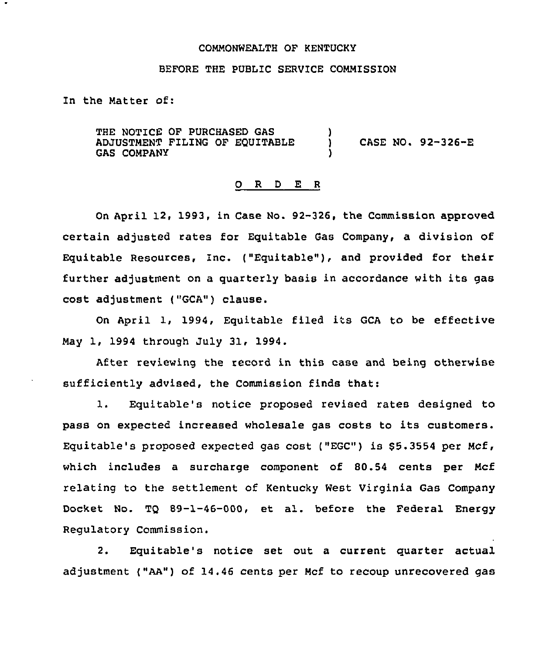## CONNONWEALTH OF KENTUCKY

## BEFORE THE PUBLIC SERVICE COMMISSION

In the Natter of:

THE NOTICE OF PURCHASED GAS ADJUSTMENT FILING OF EQUITABLE **GAS COMPANY** ) ) CASE NO <sup>~</sup> 92-326-E )

## 0 R <sup>D</sup> E <sup>R</sup>

On April 12, 1993, in Case No. 92-326, the Commission approved certain adjusted rates for Equitable Gas Company, a division of Equitable Resources, Inc. ("Equitable"), and provided for their further adjustment on a quarterly basis in accordance with its gas cost adjustment ("GCA") clause.

On April 1, 1994, Equitable filed its GCA to be effective Nay 1, 1994 through July 31, 1994.

After reviewing the record in this case and being otherwise sufficiently advised, the Commission finds that:

1. Equitable's notice proposed revised rates designed to pass on expected increased wholesale gas costs to its customers. Equitable's proposed expected gas cost ("EGc") is 85.3554 per Ncf, which includes a surcharge component of 80.54 cents per Hcf relating to the settlement of Kentucky West Virginia Gas Company Docket No. TQ 89-1-46-000, et al. before the Federal Energy Regulatory Commission.

2. Equitable's notice set out a current quarter actual adjustment ("AA") of 14.46 cents per Ncf to recoup unrecovered gas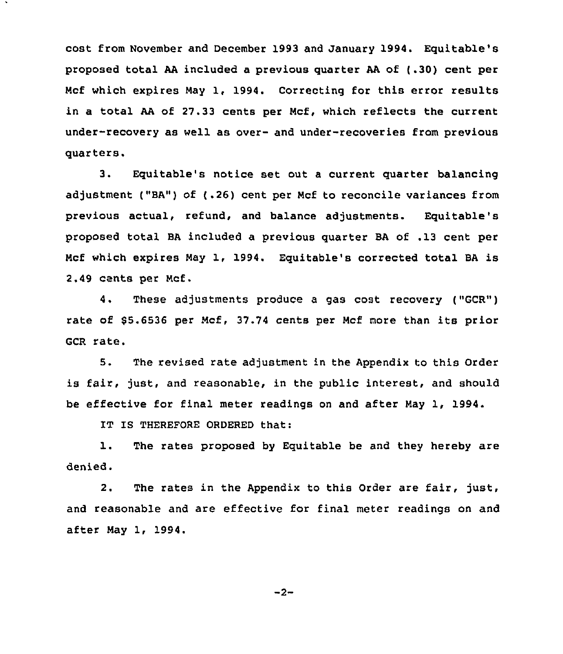cost from November and December 1993 and January 1994. Equitable's proposed total AA included a previous quarter AA of (.30) cent per Ncf which expires Nay 1, 1994. Correcting for this error results in a total AA of 27.33 cents per Ncf, which reflects the current under-recovery as well as over- and under-recoveries from previous quarters.

3. Equitable's notice set out <sup>a</sup> current quarter balancing adjustment ("BA") of (.26) cent per Ncf to reconcile variances from previous actual, refund, and balance adjustments. Equitable's proposed total BA included a previous quarter BA of .13 cent per Ncf which expires Nay 1, 1994. Equitable's corrected total BA is 2.49 cents per Ncf.

4. These adjustments produce a gas cost recovery ("GCR") rate of 65.6536 per Ncf, 37.74 cents per Ncf more than its prior GCR rate.

5. The revised rate adjustment in the Appendix to this Order is fair, just, and reasonable, in the public interest, and should be effective for final meter readings on and after May 1, 1994.

IT IS THEREFORE ORDERED that:

1. The rates proposed by Equitable be and they hereby are denied.

2. The rates in the Appendix to this Order are fair, just, and reasonable and are effective for final meter readings on and after Nay 1, 1994.

 $-2-$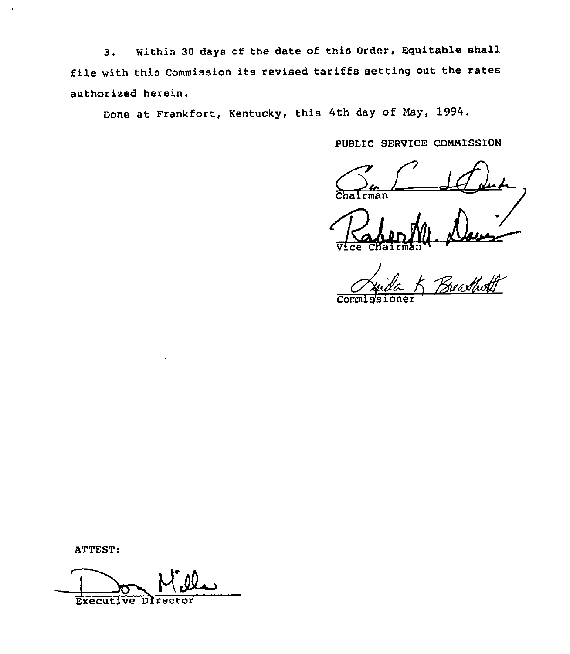3. Within <sup>30</sup> days of the date of this Order, Equitable shall file with this Commission its revised tariffs setting out the rates authorised herein.

Done at Frankfort, Kentucky, this 4th day of May, 1994.

PUBLIC SERVICE CONNISSION

 $\bigotimes_{\text{chairman}}$ 

 $\sqrt{V}$ ce Chairman  $\sqrt{V}$ 

.<br>Zreastholt

 $Comm$ 

ATTEST:

Executive Director